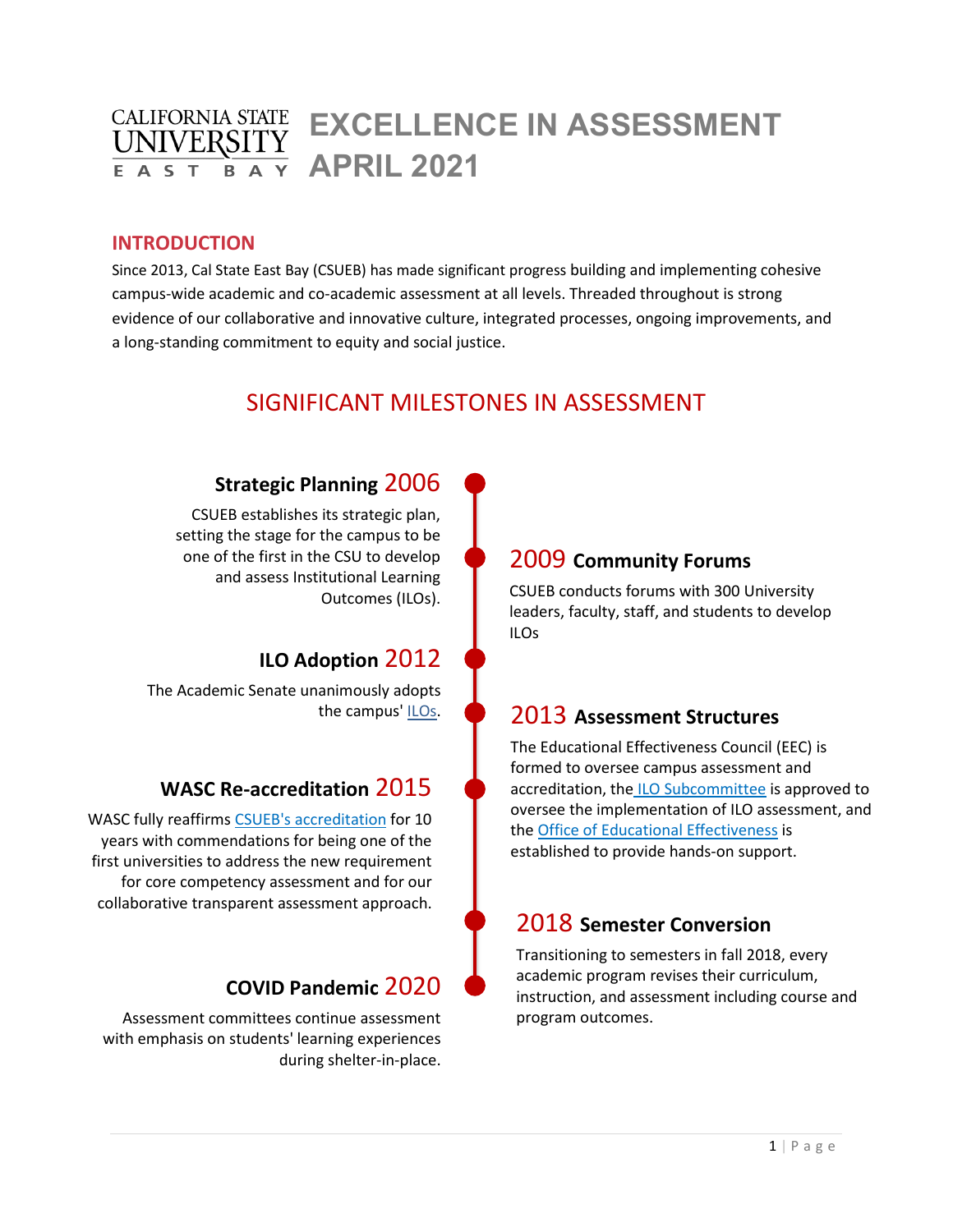#### **CALIFORNIA STATE EXCELLENCE IN ASSESSMENT UNIVERS APRIL 2021** F A S <sub>R</sub>

### **INTRODUCTION**

Since 2013, Cal State East Bay (CSUEB) has made significant progress building and implementing cohesive campus-wide academic and co-academic assessment at all levels. Threaded throughout is strong evidence of our collaborative and innovative culture, integrated processes, ongoing improvements, and a long-standing commitment to equity and social justice.

# SIGNIFICANT MILESTONES IN ASSESSMENT

## **Strategic Planning** 2006

CSUEB establishes its strategic plan, setting the stage for the campus to be one of the first in the CSU to develop and assess Institutional Learning Outcomes (ILOs).

# **ILO Adoption** 2012

The Academic Senate unanimously adopts the campus' [ILOs.](https://www.csueastbay.edu/about/mission-and-strategic-planning/institutional-learning-outcomes.html)

## **WASC Re-accreditation** 2015

WASC fully reaffirms [CSUEB's accreditation](https://www.csueastbay.edu/aps/accreditation/university-accreditation.html) for 10 years with commendations for being one of the first universities to address the new requirement for core competency assessment and for our collaborative transparent assessment approach.

## **COVID Pandemic** 2020

Assessment committees continue assessment with emphasis on students' learning experiences during shelter-in-place.

# 2009 **Community Forums**

CSUEB conducts forums with 300 University leaders, faculty, staff, and students to develop ILOs

# 2013 **Assessment Structures**

The Educational Effectiveness Council (EEC) is formed to oversee campus assessment and accreditation, the [ILO Subcommittee](https://www.csueastbay.edu/senate/committees/capr/ilo-current.html) is approved to oversee the implementation of ILO assessment, and th[e Office of Educational Effectiveness](https://www.csueastbay.edu/aps/assessment/index.html) is established to provide hands-on support.

# 2018 **Semester Conversion**

Transitioning to semesters in fall 2018, every academic program revises their curriculum, instruction, and assessment including course and program outcomes.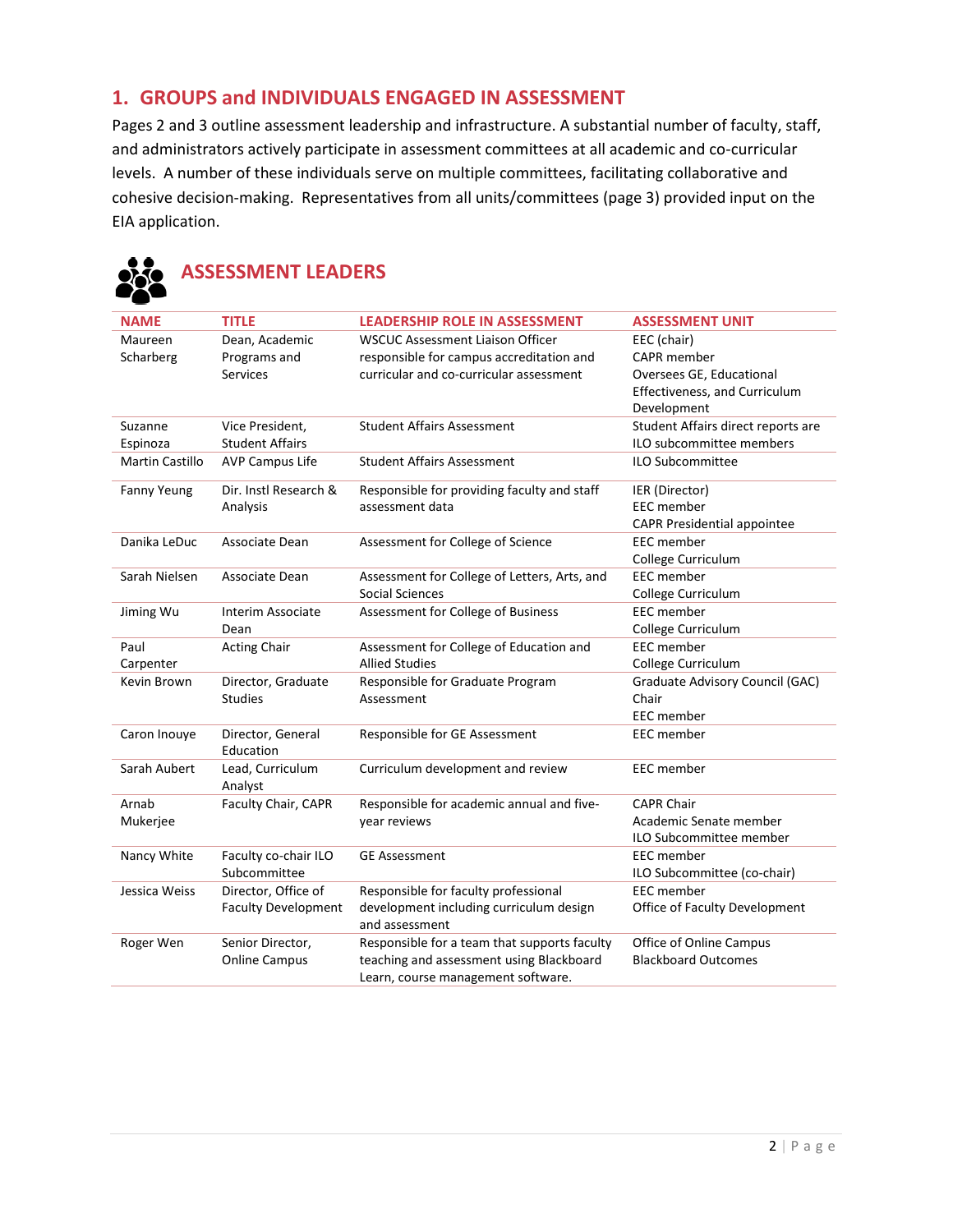### **1. GROUPS and INDIVIDUALS ENGAGED IN ASSESSMENT**

**ASSESSMENT LEADERS** 

Pages 2 and 3 outline assessment leadership and infrastructure. A substantial number of faculty, staff, and administrators actively participate in assessment committees at all academic and co-curricular levels. A number of these individuals serve on multiple committees, facilitating collaborative and cohesive decision-making. Representatives from all units/committees (page 3) provided input on the EIA application.

| <b>NAME</b>            | <b>TITLE</b>                   | <b>LEADERSHIP ROLE IN ASSESSMENT</b>                                           | <b>ASSESSMENT UNIT</b>             |
|------------------------|--------------------------------|--------------------------------------------------------------------------------|------------------------------------|
| Maureen                | Dean, Academic                 | <b>WSCUC Assessment Liaison Officer</b>                                        | EEC (chair)                        |
| Scharberg              | Programs and                   | responsible for campus accreditation and                                       | <b>CAPR</b> member                 |
|                        | <b>Services</b>                | curricular and co-curricular assessment                                        | Oversees GE, Educational           |
|                        |                                |                                                                                | Effectiveness, and Curriculum      |
|                        |                                |                                                                                | Development                        |
| Suzanne                | Vice President,                | <b>Student Affairs Assessment</b>                                              | Student Affairs direct reports are |
| Espinoza               | <b>Student Affairs</b>         |                                                                                | ILO subcommittee members           |
| <b>Martin Castillo</b> | <b>AVP Campus Life</b>         | <b>Student Affairs Assessment</b>                                              | <b>ILO Subcommittee</b>            |
| <b>Fanny Yeung</b>     | Dir. Instl Research &          | Responsible for providing faculty and staff                                    | IER (Director)                     |
|                        | Analysis                       | assessment data                                                                | <b>EEC</b> member                  |
|                        |                                |                                                                                | CAPR Presidential appointee        |
| Danika LeDuc           | Associate Dean                 | Assessment for College of Science                                              | <b>EEC</b> member                  |
|                        |                                |                                                                                | College Curriculum                 |
| Sarah Nielsen          | Associate Dean                 | Assessment for College of Letters, Arts, and                                   | <b>EEC</b> member                  |
|                        |                                | Social Sciences                                                                | College Curriculum                 |
| Jiming Wu              | Interim Associate              | Assessment for College of Business                                             | <b>EEC</b> member                  |
|                        | Dean                           |                                                                                | College Curriculum                 |
| Paul                   | <b>Acting Chair</b>            | Assessment for College of Education and                                        | <b>EEC</b> member                  |
| Carpenter              |                                | <b>Allied Studies</b>                                                          | College Curriculum                 |
| Kevin Brown            | Director, Graduate             | Responsible for Graduate Program                                               | Graduate Advisory Council (GAC)    |
|                        | <b>Studies</b>                 | Assessment                                                                     | Chair                              |
|                        |                                |                                                                                | <b>EEC</b> member                  |
| Caron Inouye           | Director, General<br>Education | Responsible for GE Assessment                                                  | <b>EEC</b> member                  |
| Sarah Aubert           | Lead, Curriculum<br>Analyst    | Curriculum development and review                                              | <b>EEC</b> member                  |
| Arnab                  | Faculty Chair, CAPR            | Responsible for academic annual and five-                                      | <b>CAPR Chair</b>                  |
| Mukerjee               |                                | year reviews                                                                   | Academic Senate member             |
|                        |                                |                                                                                | ILO Subcommittee member            |
| Nancy White            | Faculty co-chair ILO           | <b>GE Assessment</b>                                                           | <b>EEC</b> member                  |
|                        | Subcommittee                   |                                                                                | ILO Subcommittee (co-chair)        |
| Jessica Weiss          | Director, Office of            | Responsible for faculty professional                                           | <b>EEC</b> member                  |
|                        | <b>Faculty Development</b>     | development including curriculum design<br>and assessment                      | Office of Faculty Development      |
| Roger Wen              | Senior Director,               | Responsible for a team that supports faculty                                   | Office of Online Campus            |
|                        | <b>Online Campus</b>           | teaching and assessment using Blackboard<br>Learn, course management software. | <b>Blackboard Outcomes</b>         |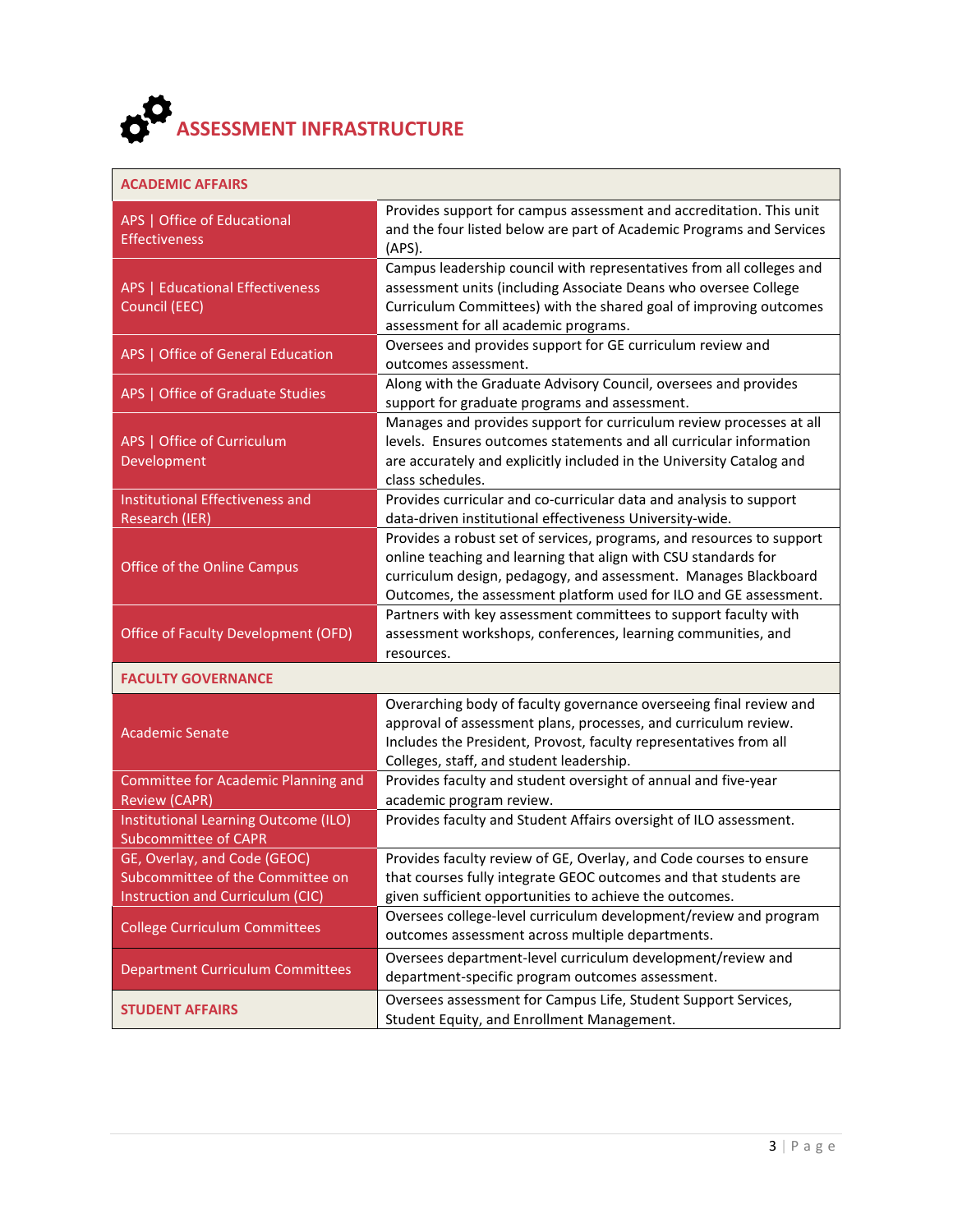

|  | ACADEMIC AFFAIRS |  |
|--|------------------|--|
|--|------------------|--|

| APS   Office of Educational<br><b>Effectiveness</b>                 | Provides support for campus assessment and accreditation. This unit<br>and the four listed below are part of Academic Programs and Services<br>(APS).                                                                                                                           |
|---------------------------------------------------------------------|---------------------------------------------------------------------------------------------------------------------------------------------------------------------------------------------------------------------------------------------------------------------------------|
| <b>APS   Educational Effectiveness</b><br>Council (EEC)             | Campus leadership council with representatives from all colleges and<br>assessment units (including Associate Deans who oversee College<br>Curriculum Committees) with the shared goal of improving outcomes<br>assessment for all academic programs.                           |
| APS   Office of General Education                                   | Oversees and provides support for GE curriculum review and<br>outcomes assessment.                                                                                                                                                                                              |
| APS   Office of Graduate Studies                                    | Along with the Graduate Advisory Council, oversees and provides<br>support for graduate programs and assessment.                                                                                                                                                                |
| APS   Office of Curriculum<br>Development                           | Manages and provides support for curriculum review processes at all<br>levels. Ensures outcomes statements and all curricular information<br>are accurately and explicitly included in the University Catalog and<br>class schedules.                                           |
| <b>Institutional Effectiveness and</b><br>Research (IER)            | Provides curricular and co-curricular data and analysis to support<br>data-driven institutional effectiveness University-wide.                                                                                                                                                  |
| Office of the Online Campus                                         | Provides a robust set of services, programs, and resources to support<br>online teaching and learning that align with CSU standards for<br>curriculum design, pedagogy, and assessment. Manages Blackboard<br>Outcomes, the assessment platform used for ILO and GE assessment. |
| Office of Faculty Development (OFD)                                 | Partners with key assessment committees to support faculty with<br>assessment workshops, conferences, learning communities, and<br>resources.                                                                                                                                   |
| <b>FACULTY GOVERNANCE</b>                                           |                                                                                                                                                                                                                                                                                 |
| <b>Academic Senate</b>                                              | Overarching body of faculty governance overseeing final review and<br>approval of assessment plans, processes, and curriculum review.<br>Includes the President, Provost, faculty representatives from all<br>Colleges, staff, and student leadership.                          |
| <b>Committee for Academic Planning and</b><br><b>Review (CAPR)</b>  | Provides faculty and student oversight of annual and five-year<br>academic program review.                                                                                                                                                                                      |
| Institutional Learning Outcome (ILO)<br><b>Subcommittee of CAPR</b> | Provides faculty and Student Affairs oversight of ILO assessment.                                                                                                                                                                                                               |
| GE, Overlay, and Code (GEOC)                                        | Provides faculty review of GE, Overlay, and Code courses to ensure                                                                                                                                                                                                              |
| Subcommittee of the Committee on                                    | that courses fully integrate GEOC outcomes and that students are                                                                                                                                                                                                                |
| Instruction and Curriculum (CIC)                                    | given sufficient opportunities to achieve the outcomes.                                                                                                                                                                                                                         |
| <b>College Curriculum Committees</b>                                | Oversees college-level curriculum development/review and program<br>outcomes assessment across multiple departments.                                                                                                                                                            |
| <b>Department Curriculum Committees</b>                             | Oversees department-level curriculum development/review and<br>department-specific program outcomes assessment.                                                                                                                                                                 |
| <b>STUDENT AFFAIRS</b>                                              | Oversees assessment for Campus Life, Student Support Services,<br>Student Equity, and Enrollment Management.                                                                                                                                                                    |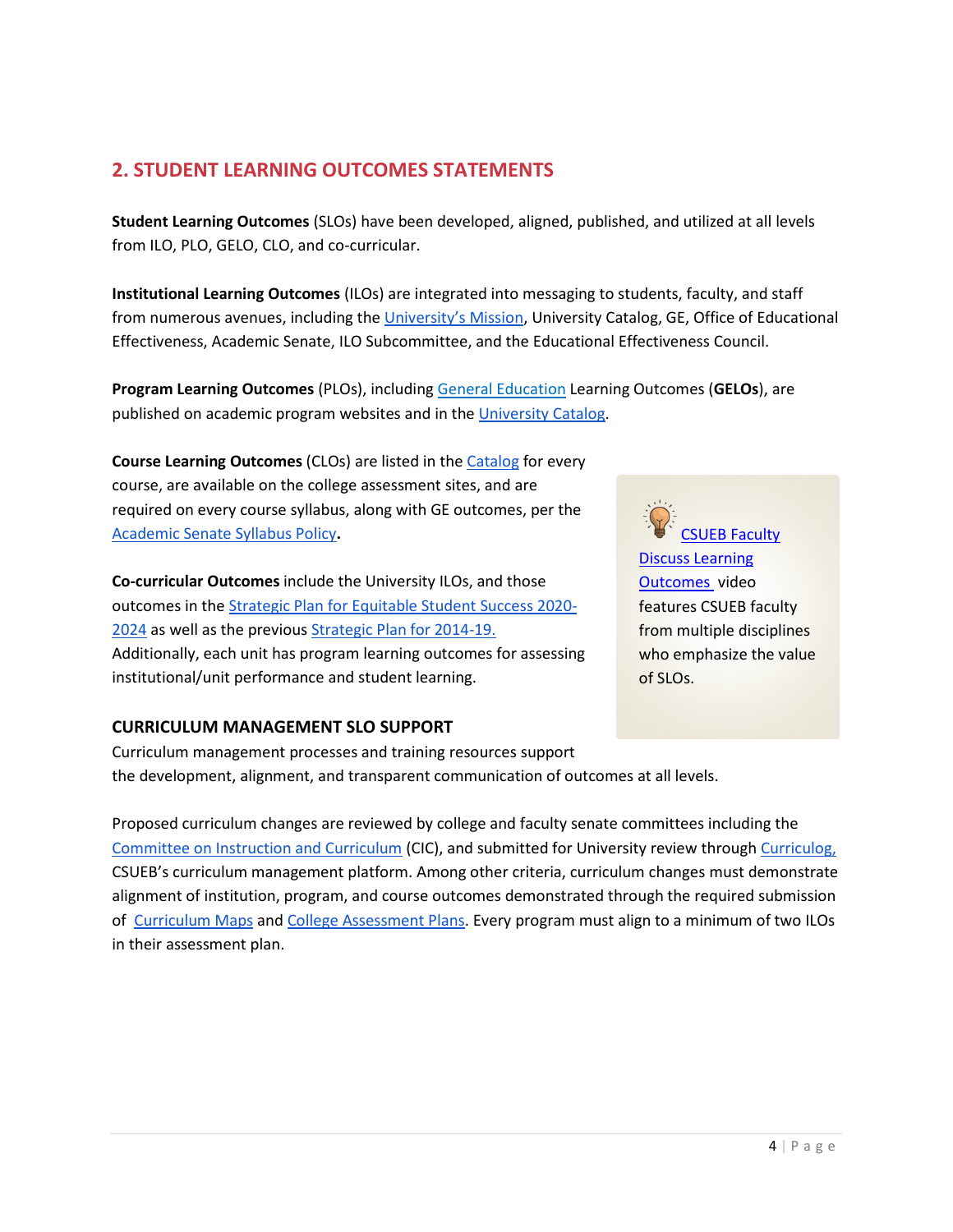# **2. STUDENT LEARNING OUTCOMES STATEMENTS**

**Student Learning Outcomes** (SLOs) have been developed, aligned, published, and utilized at all levels from ILO, PLO, GELO, CLO, and co-curricular.

**Institutional Learning Outcomes** (ILOs) are integrated into messaging to students, faculty, and staff from numerous avenues, including the [University's Mission,](https://www.csueastbay.edu/about/mission-and-strategic-planning/institutional-learning-outcomes.html) University Catalog, GE, Office of Educational Effectiveness, Academic Senate, ILO Subcommittee, and the Educational Effectiveness Council.

**Program Learning Outcomes** (PLOs), including [General Education](https://www.csueastbay.edu/ge/breadth-semesters.html) Learning Outcomes (**GELOs**), are published on academic program websites and in th[e University Catalog.](https://catalog.csueastbay.edu/)

**Course Learning Outcomes** (CLOs) are listed in the [Catalog](https://catalog.csueastbay.edu/) for every course, are available on the college assessment sites, and are required on every course syllabus, along with GE outcomes, per th[e](https://www.csueastbay.edu/faculty/files/docs/policies/12-13-new-policy-page/syllabus-policy-17-18-fac-8-prez-app-6-27-18.pdf) [Academic Senate Syllabus Policy](https://www.csueastbay.edu/faculty/files/docs/policies/12-13-new-policy-page/syllabus-policy-17-18-fac-8-prez-app-6-27-18.pdf)**.**

**Co-curricular Outcomes** include the University ILOs, and those outcomes in the [Strategic Plan for Equitable Student Success 2020-](https://www.csueastbay.edu/aps/files/docs/east-bay-strategic-plan-for-equitable-student-success-final.pdf) [2024](https://www.csueastbay.edu/aps/files/docs/east-bay-strategic-plan-for-equitable-student-success-final.pdf) as well as the previous [Strategic Plan for 2014-19.](https://www.csueastbay.edu/oaa/files/docs/homepage/aastrategicplan.pdf)  Additionally, each unit has program learning outcomes for assessing institutional/unit performance and student learning.

### **CURRICULUM MANAGEMENT SLO SUPPORT**

Curriculum management processes and training resources support the development, alignment, and transparent communication of outcomes at all levels.

Proposed curriculum changes are reviewed by college and faculty senate committees including th[e](https://www.csueastbay.edu/senate/committees/cic/index.html) [Committee on Instruction and Curriculum](https://www.csueastbay.edu/senate/committees/cic/index.html) (CIC), and submitted for University review through [Curriculog,](https://www.csueastbay.edu/aps/curriculum-development/curriculog-overview.html) CSUEB's curriculum management platform. Among other criteria, curriculum changes must demonstrate alignment of institution, program, and course outcomes demonstrated through the required submission of [Curriculum Maps](https://www.csueastbay.edu/aps/assessment/assessment-resources.html) an[d College Assessment Plans.](https://www.csueastbay.edu/aps/assessment/assessment-resources.html) Every program must align to a minimum of two ILOs in their assessment plan.

**SUEB Faculty** 

[Discuss Learning](https://www.youtube.com/watch?v=TiKUScIFdkY&t=15s)  [Outcomes](https://www.youtube.com/watch?v=TiKUScIFdkY&t=15s) video features CSUEB faculty from multiple disciplines who emphasize the value of SLOs.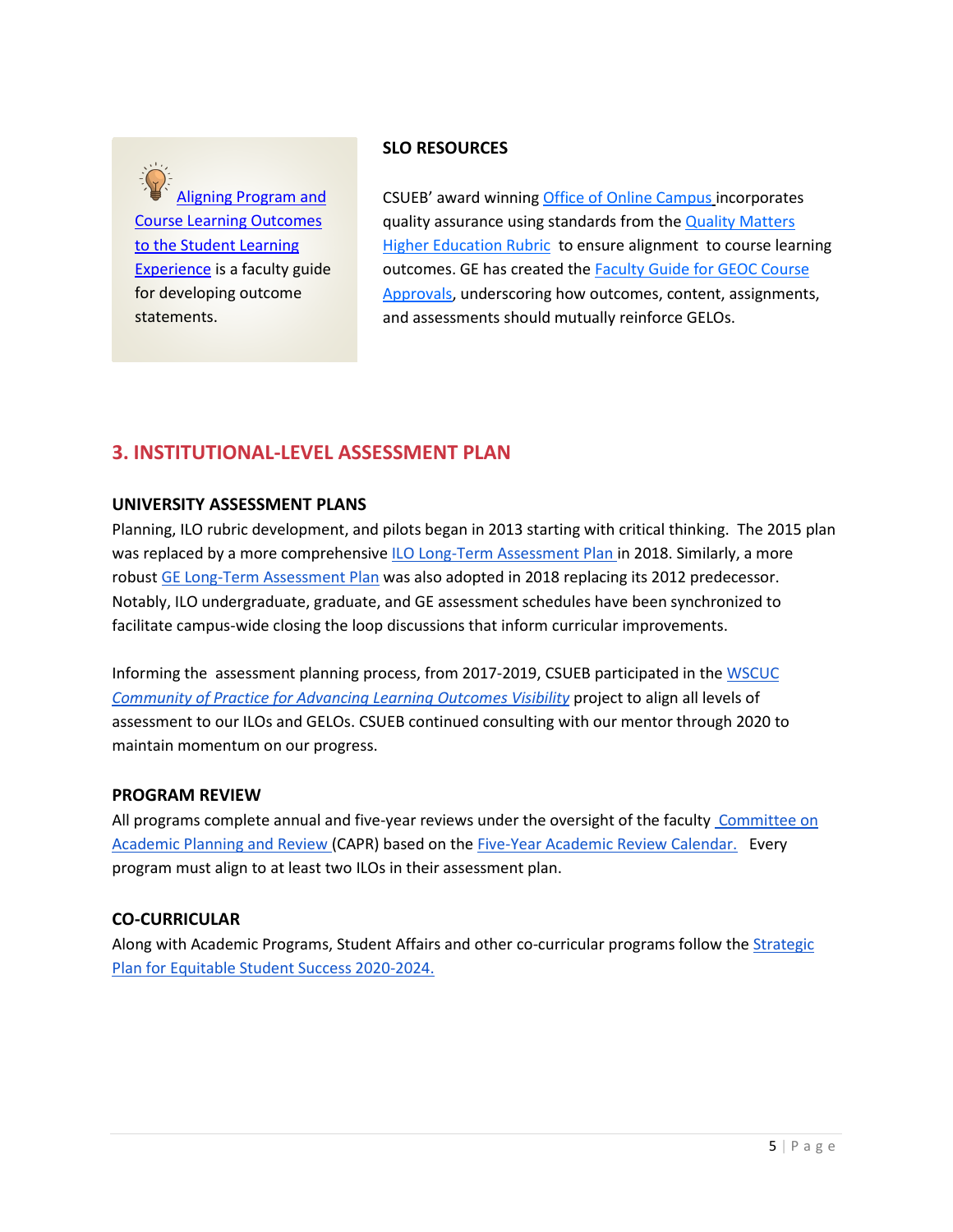

### **SLO RESOURCES**

CSUEB' award winning [Office of Online Campus](https://www.csueastbay.edu/online/) incorporates quality assurance using standards from th[e Quality Matters](https://www.qualitymatters.org/qa-resources/rubric-standards/higher-ed-rubric)  **[Higher Education Rubric](https://www.qualitymatters.org/qa-resources/rubric-standards/higher-ed-rubric) to ensure alignment to course learning** outcomes. GE has created the [Faculty Guide for GEOC Course](https://www.csueastbay.edu/ge/files/docs/ge-documents/ge-facultyguide-geoccourseapprovals.pdf)  [Approvals,](https://www.csueastbay.edu/ge/files/docs/ge-documents/ge-facultyguide-geoccourseapprovals.pdf) underscoring how outcomes, content, assignments, and assessments should mutually reinforce GELOs.

### **3. INSTITUTIONAL-LEVEL ASSESSMENT PLAN**

### **UNIVERSITY ASSESSMENT PLANS**

Planning, ILO rubric development, and pilots began in 2013 starting with critical thinking. The 2015 plan was replaced by a more comprehensiv[e ILO Long-Term Assessment Plan i](https://drive.google.com/file/d/1D75EWJ9Qu2cVUhLqMhx20KUDrCo2Ppje/view)n 2018. Similarly, a more robust [GE Long-Term Assessment Plan](https://www.csueastbay.edu/ge/files/docs/ge-long-term-assessment-plan.pdf) was also adopted in 2018 replacing its 2012 predecessor. Notably, ILO undergraduate, graduate, and GE assessment schedules have been synchronized to facilitate campus-wide closing the loop discussions that inform curricular improvements.

Informing the assessment planning process, from 2017-2019, CSUEB participated in the [WSCUC](https://assessmentinstitute.iupui.edu/overview/institute-files/2019-institute/tuesday-2019/heyman.pdf)  *[Community of Practice for Advancing Learning Outcomes Visibility](https://assessmentinstitute.iupui.edu/overview/institute-files/2019-institute/tuesday-2019/heyman.pdf)* project to align all levels of assessment to our ILOs and GELOs. CSUEB continued consulting with our mentor through 2020 to maintain momentum on our progress.

### **PROGRAM REVIEW**

All programs complete annual and five-year reviews under the oversight of the faculty Committee on [Academic Planning and Review \(](https://www.csueastbay.edu/senate/committees/capr/index.html)CAPR) based on th[e Five-Year Academic Review Calendar.](https://docs.google.com/spreadsheets/d/1uDKSaQAh4gzlgbU6wDK9aThnsJ4KKBvIGvcq_Yk3u0Q/edit#gid=0) Every program must align to at least two ILOs in their assessment plan.

### **CO-CURRICULAR**

Along with Academic Programs, Student Affairs and other co-curricular programs follow the [Strategic](https://www.csueastbay.edu/aps/files/docs/east-bay-strategic-plan-for-equitable-student-success-final.pdf)  [Plan for Equitable Student Success 2020-2024.](https://www.csueastbay.edu/aps/files/docs/east-bay-strategic-plan-for-equitable-student-success-final.pdf)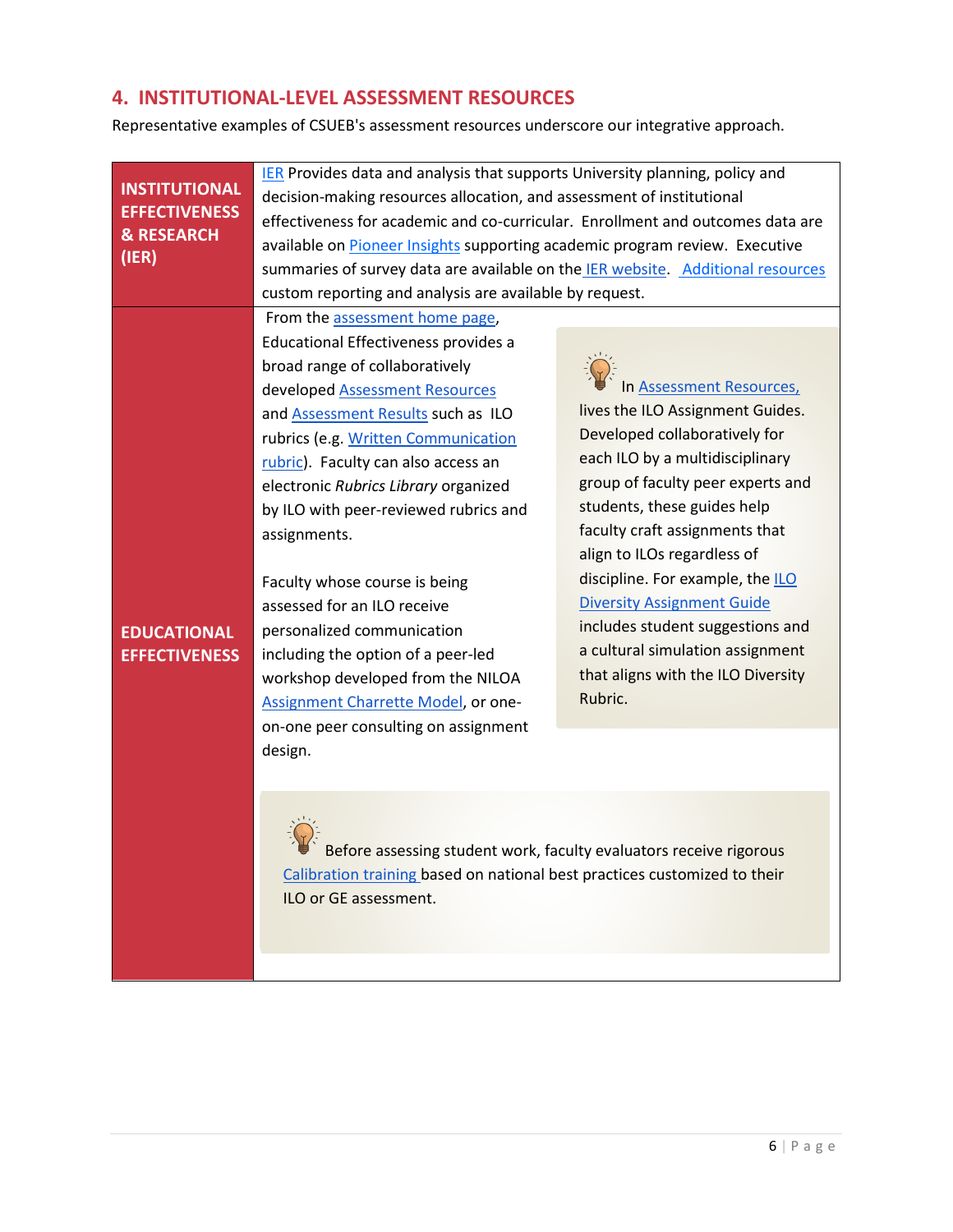# **4. INSTITUTIONAL-LEVEL ASSESSMENT RESOURCES**

Representative examples of CSUEB's assessment resources underscore our integrative approach.

| <b>INSTITUTIONAL</b>  | <b>IER</b> Provides data and analysis that supports University planning, policy and |                                    |  |
|-----------------------|-------------------------------------------------------------------------------------|------------------------------------|--|
| <b>EFFECTIVENESS</b>  | decision-making resources allocation, and assessment of institutional               |                                    |  |
| <b>&amp; RESEARCH</b> | effectiveness for academic and co-curricular. Enrollment and outcomes data are      |                                    |  |
| (IER)                 | available on <b>Pioneer Insights</b> supporting academic program review. Executive  |                                    |  |
|                       | summaries of survey data are available on the IER website Additional resources      |                                    |  |
|                       | custom reporting and analysis are available by request.                             |                                    |  |
|                       | From the assessment home page,                                                      |                                    |  |
|                       | Educational Effectiveness provides a                                                |                                    |  |
|                       | broad range of collaboratively                                                      |                                    |  |
|                       | developed Assessment Resources                                                      | In Assessment Resources,           |  |
|                       | and <b>Assessment Results</b> such as ILO                                           | lives the ILO Assignment Guides.   |  |
|                       | rubrics (e.g. Written Communication                                                 | Developed collaboratively for      |  |
|                       | rubric). Faculty can also access an                                                 | each ILO by a multidisciplinary    |  |
|                       | electronic Rubrics Library organized                                                | group of faculty peer experts and  |  |
|                       | by ILO with peer-reviewed rubrics and                                               | students, these guides help        |  |
|                       | assignments.                                                                        | faculty craft assignments that     |  |
|                       |                                                                                     | align to ILOs regardless of        |  |
|                       | Faculty whose course is being                                                       | discipline. For example, the ILO   |  |
|                       | assessed for an ILO receive                                                         | <b>Diversity Assignment Guide</b>  |  |
| <b>EDUCATIONAL</b>    | personalized communication                                                          | includes student suggestions and   |  |
| <b>EFFECTIVENESS</b>  | including the option of a peer-led                                                  | a cultural simulation assignment   |  |
|                       | workshop developed from the NILOA                                                   | that aligns with the ILO Diversity |  |
|                       | Assignment Charrette Model, or one-                                                 | Rubric.                            |  |
|                       | on-one peer consulting on assignment                                                |                                    |  |
|                       | design.                                                                             |                                    |  |
|                       |                                                                                     |                                    |  |
|                       |                                                                                     |                                    |  |
|                       |                                                                                     |                                    |  |
|                       | Before assessing student work, faculty evaluators receive rigorous                  |                                    |  |
|                       |                                                                                     |                                    |  |
|                       | Calibration training based on national best practices customized to their           |                                    |  |
|                       | ILO or GE assessment.                                                               |                                    |  |
|                       |                                                                                     |                                    |  |
|                       |                                                                                     |                                    |  |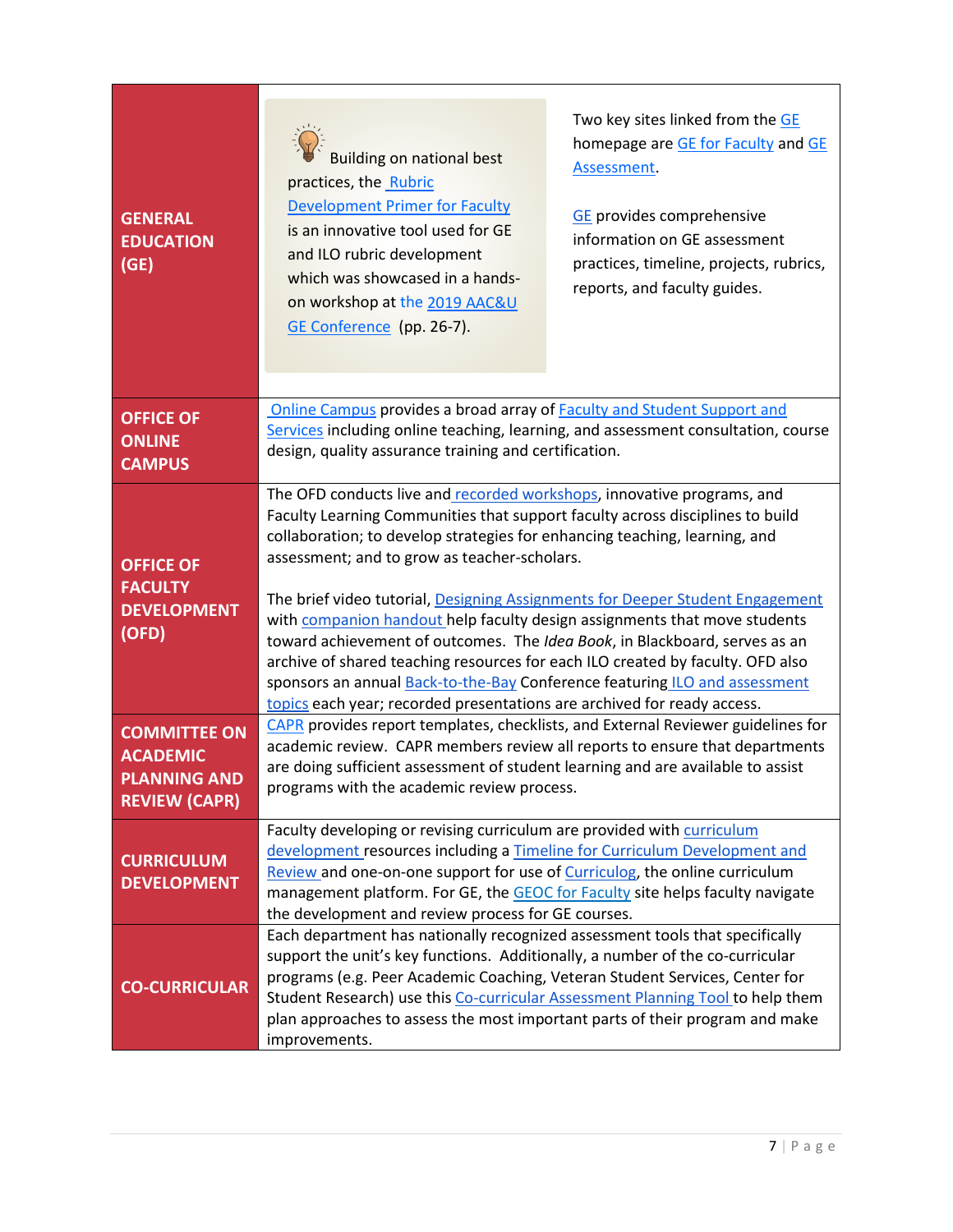| <b>GENERAL</b><br><b>EDUCATION</b><br>(GE)                                            | <b>Building on national best</b><br>practices, the Rubric<br><b>Development Primer for Faculty</b><br>is an innovative tool used for GE<br>and ILO rubric development<br>which was showcased in a hands-<br>on workshop at the 2019 AAC&U<br>GE Conference (pp. 26-7).                                                                                                                                                                                                                                                                                                                                                                                                                                                                                                       | Two key sites linked from the GE<br>homepage are GE for Faculty and GE<br>Assessment.<br><b>GE</b> provides comprehensive<br>information on GE assessment<br>practices, timeline, projects, rubrics,<br>reports, and faculty guides. |
|---------------------------------------------------------------------------------------|------------------------------------------------------------------------------------------------------------------------------------------------------------------------------------------------------------------------------------------------------------------------------------------------------------------------------------------------------------------------------------------------------------------------------------------------------------------------------------------------------------------------------------------------------------------------------------------------------------------------------------------------------------------------------------------------------------------------------------------------------------------------------|--------------------------------------------------------------------------------------------------------------------------------------------------------------------------------------------------------------------------------------|
| <b>OFFICE OF</b><br><b>ONLINE</b><br><b>CAMPUS</b>                                    | Online Campus provides a broad array of Faculty and Student Support and<br>Services including online teaching, learning, and assessment consultation, course<br>design, quality assurance training and certification.                                                                                                                                                                                                                                                                                                                                                                                                                                                                                                                                                        |                                                                                                                                                                                                                                      |
| <b>OFFICE OF</b><br><b>FACULTY</b><br><b>DEVELOPMENT</b><br>(OFD)                     | The OFD conducts live and recorded workshops, innovative programs, and<br>Faculty Learning Communities that support faculty across disciplines to build<br>collaboration; to develop strategies for enhancing teaching, learning, and<br>assessment; and to grow as teacher-scholars.<br>The brief video tutorial, Designing Assignments for Deeper Student Engagement<br>with companion handout help faculty design assignments that move students<br>toward achievement of outcomes. The Idea Book, in Blackboard, serves as an<br>archive of shared teaching resources for each ILO created by faculty. OFD also<br>sponsors an annual Back-to-the-Bay Conference featuring ILO and assessment<br>topics each year; recorded presentations are archived for ready access. |                                                                                                                                                                                                                                      |
| <b>COMMITTEE ON</b><br><b>ACADEMIC</b><br><b>PLANNING AND</b><br><b>REVIEW (CAPR)</b> | CAPR provides report templates, checklists, and External Reviewer guidelines for<br>academic review. CAPR members review all reports to ensure that departments<br>are doing sufficient assessment of student learning and are available to assist<br>programs with the academic review process.                                                                                                                                                                                                                                                                                                                                                                                                                                                                             |                                                                                                                                                                                                                                      |
| <b>CURRICULUM</b><br><b>DEVELOPMENT</b>                                               | Faculty developing or revising curriculum are provided with curriculum<br>development resources including a Timeline for Curriculum Development and<br>Review and one-on-one support for use of Curriculog, the online curriculum<br>management platform. For GE, the GEOC for Faculty site helps faculty navigate<br>the development and review process for GE courses.                                                                                                                                                                                                                                                                                                                                                                                                     |                                                                                                                                                                                                                                      |
| <b>CO-CURRICULAR</b>                                                                  | Each department has nationally recognized assessment tools that specifically<br>support the unit's key functions. Additionally, a number of the co-curricular<br>programs (e.g. Peer Academic Coaching, Veteran Student Services, Center for<br>Student Research) use this Co-curricular Assessment Planning Tool to help them<br>plan approaches to assess the most important parts of their program and make<br>improvements.                                                                                                                                                                                                                                                                                                                                              |                                                                                                                                                                                                                                      |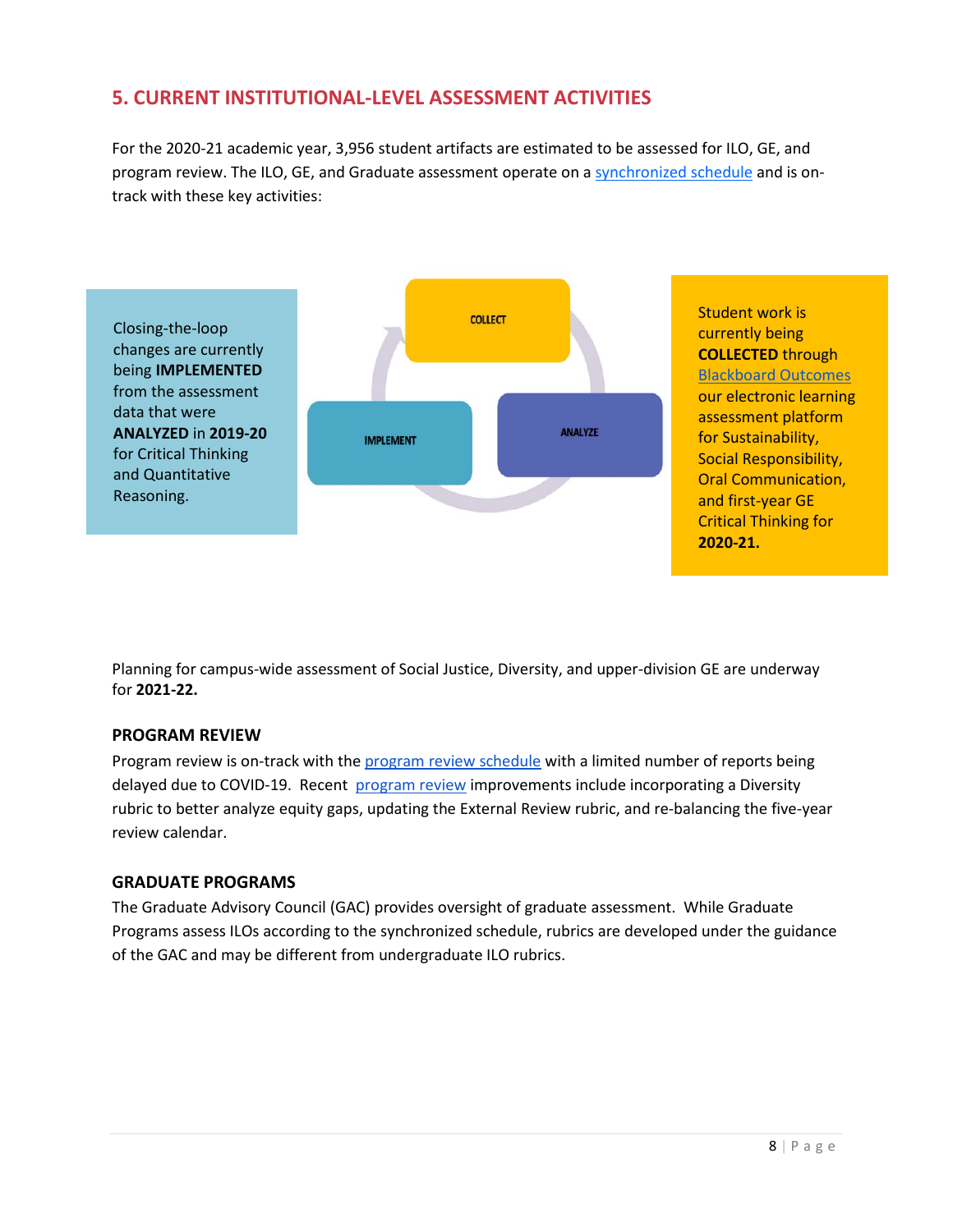### **5. CURRENT INSTITUTIONAL-LEVEL ASSESSMENT ACTIVITIES**

For the 2020-21 academic year, 3,956 student artifacts are estimated to be assessed for ILO, GE, and program review. The ILO, GE, and Graduate assessment operate on a [synchronized schedule](https://www.csueastbay.edu/aps/files/docs/ilo-long-term-assessment-plan.pdf) and is ontrack with these key activities:



Planning for campus-wide assessment of Social Justice, Diversity, and upper-division GE are underway for **2021-22.**

### **PROGRAM REVIEW**

Program review is on-track with th[e program review schedule](https://docs.google.com/spreadsheets/d/1uDKSaQAh4gzlgbU6wDK9aThnsJ4KKBvIGvcq_Yk3u0Q/edit#g) with a limited number of reports being delayed due to COVID-19. Recent [program review](https://docs.google.com/document/d/1VcTOlZAqoaSjHgtbpgHOtbkREgKKR3rKGb23sKgUobQ/edit) improvements include incorporating a Diversity rubric to better analyze equity gaps, updating the External Review rubric, and re-balancing the five-year review calendar.

### **GRADUATE PROGRAMS**

The Graduate Advisory Council (GAC) provides oversight of graduate assessment. While Graduate Programs assess ILOs according to the synchronized schedule, rubrics are developed under the guidance of the GAC and may be different from undergraduate ILO rubrics.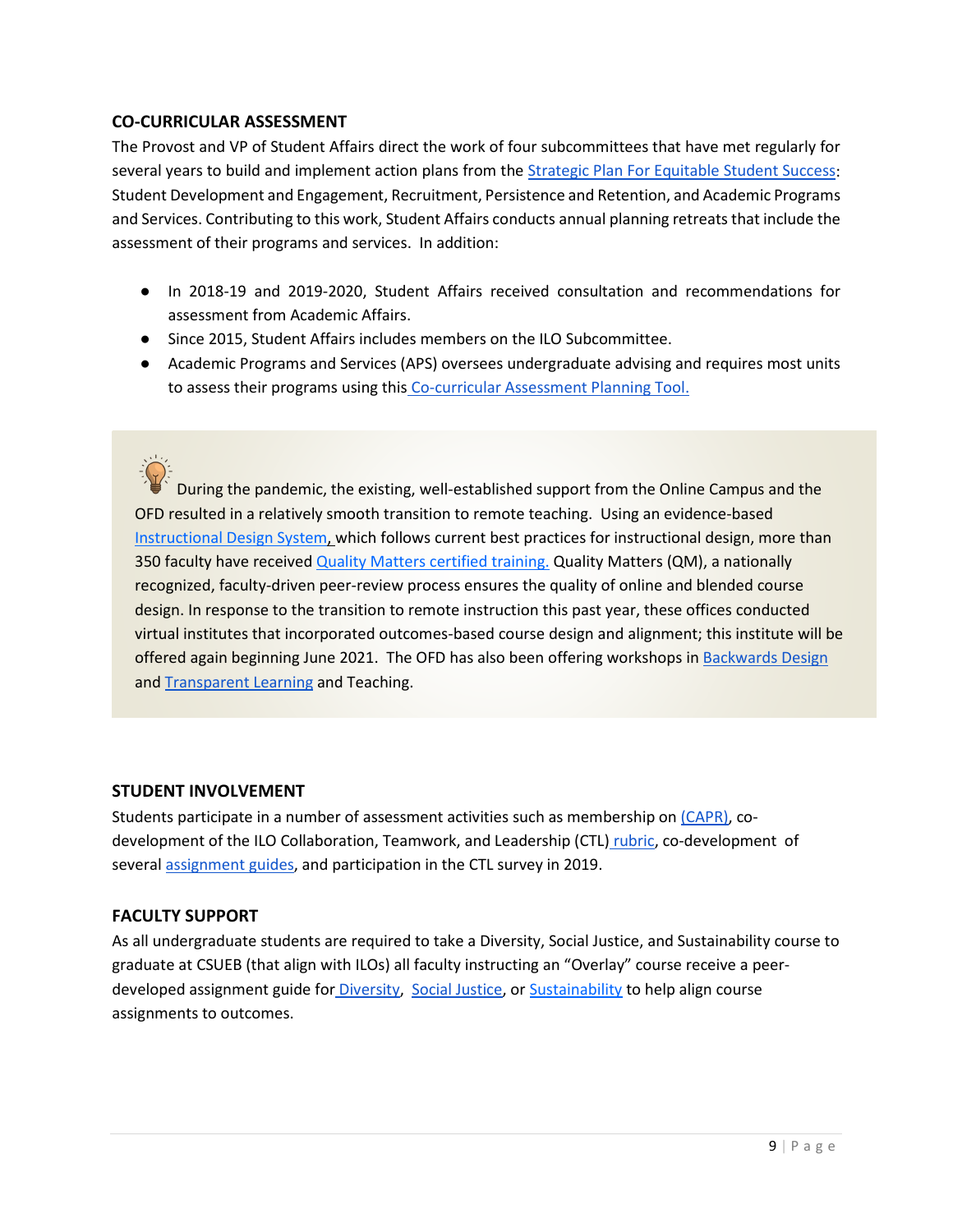#### **CO-CURRICULAR ASSESSMENT**

The Provost and VP of Student Affairs direct the work of four subcommittees that have met regularly for several years to build and implement action plans from the [Strategic Plan For Equitable Student Success:](https://www.csueastbay.edu/aps/files/docs/east-bay-strategic-plan-for-equitable-student-success-final.pdf) Student Development and Engagement, Recruitment, Persistence and Retention, and Academic Programs and Services. Contributing to this work, Student Affairs conducts annual planning retreats that include the assessment of their programs and services. In addition:

- In 2018-19 and 2019-2020, Student Affairs received consultation and recommendations for assessment from Academic Affairs.
- Since 2015, Student Affairs includes members on the ILO Subcommittee.
- Academic Programs and Services (APS) oversees undergraduate advising and requires most units to assess their programs using this [Co-curricular Assessment Planning Tool.](https://docs.google.com/document/d/1CDlF4i8w5aVRhn1Wvi8jC_-ns6g_HABk/edit)

During the pandemic, the existing, well-established support from the Online Campus and the OFD resulted in a relatively smooth transition to remote teaching. Using an evidence-based [Instructional Design System, w](https://www.csueastbay.edu/online/course-design-system.html)hich follows current best practices for instructional design, more than 350 faculty have received [Quality Matters certified training.](https://www.csueastbay.edu/online/training-and-certification/index.html) Quality Matters (QM), a nationally recognized, faculty-driven peer-review process ensures the quality of online and blended course design. In response to the transition to remote instruction this past year, these offices conducted virtual institutes that incorporated outcomes-based course design and alignment; this institute will be offered again beginning June 2021. The OFD has also been offering workshops i[n Backwards Design](http://www.ascd.org/ASCD/pdf/siteASCD/publications/UbD_WhitePaper0312.pdf) and [Transparent Learning](https://www.aacu.org/sites/default/files/files/AM17/Winkelmes%20TILT%20Jan%202017%20AACU%20%20slides%20(please%20cite).pdf) and Teaching.

### **STUDENT INVOLVEMENT**

Students participate in a number of assessment activities such as membership o[n \(CAPR\),](https://www.csueastbay.edu/senate/committees/capr/index.html) codevelopment of the ILO Collaboration, Teamwork, and Leadership (CTL) [rubric,](https://www.csueastbay.edu/aps/assessment/assessment-resources.html) co-development of several [assignment guides,](https://www.csueastbay.edu/aps/assessment/assessment-resources.html) and participation in the CTL survey in 2019.

### **FACULTY SUPPORT**

As all undergraduate students are required to take a Diversity, Social Justice, and Sustainability course to graduate at CSUEB (that align with ILOs) all faculty instructing an "Overlay" course receive a peer-developed assignment guide for [Diversity,](https://www.csueastbay.edu/aps/files/docs/ilo-diversity-assignment-guide-v1-final-12-10-20.pdf) [Social Justice,](https://www.csueastbay.edu/aps/files/docs/ilo-social-justice-assignment-guide-v2-12-14-20.pdf) or [Sustainability](https://www.csueastbay.edu/aps/files/docs/ilo-sustainability-assignment-guide2.pdf) to help align course assignments to outcomes.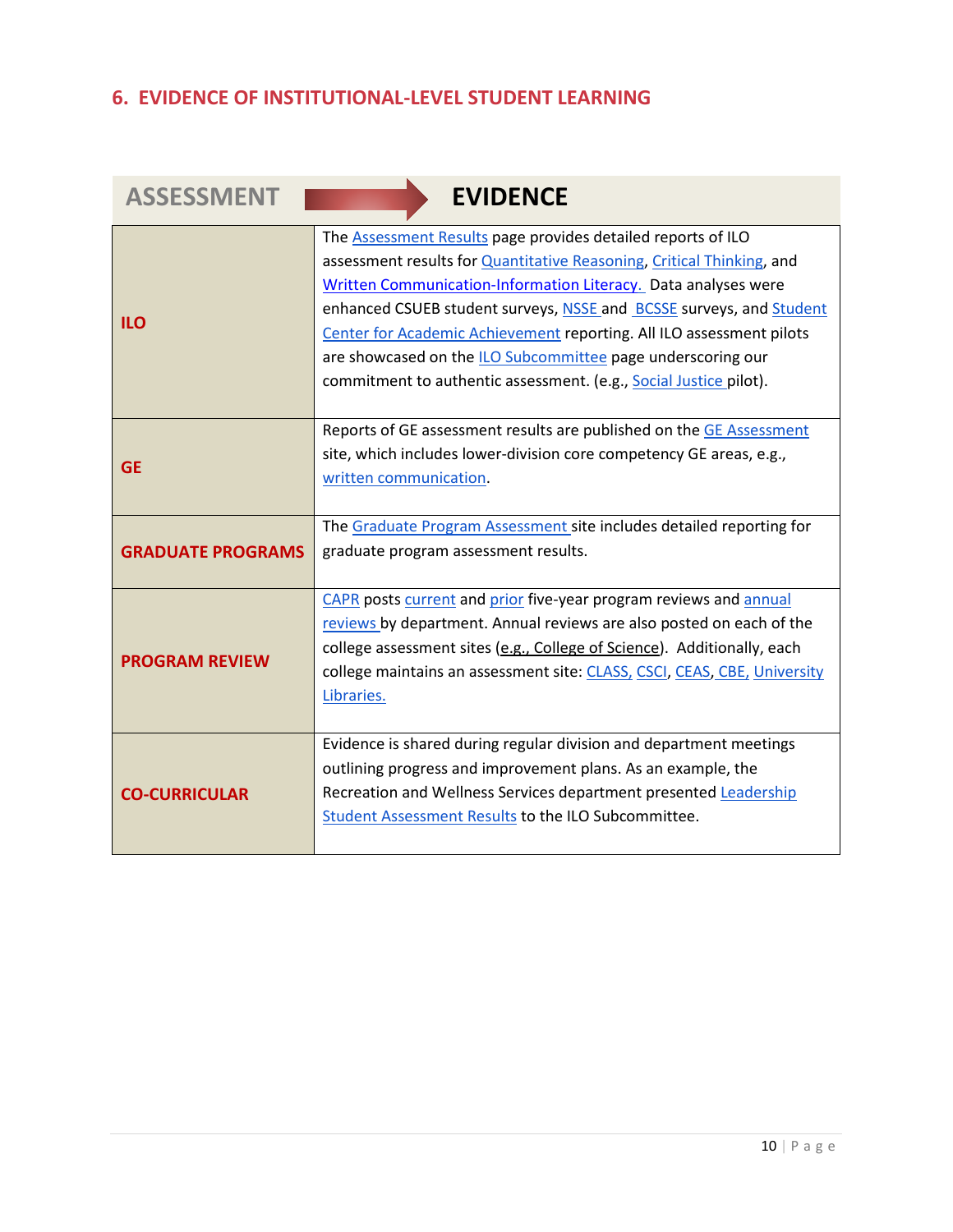# **6. EVIDENCE OF INSTITUTIONAL-LEVEL STUDENT LEARNING**

| <b>ASSESSMENT</b>        | <b>EVIDENCE</b>                                                                                                                                                                                                                                                                                                                                                                                                                                                                                    |
|--------------------------|----------------------------------------------------------------------------------------------------------------------------------------------------------------------------------------------------------------------------------------------------------------------------------------------------------------------------------------------------------------------------------------------------------------------------------------------------------------------------------------------------|
| <b>ILO</b>               | The Assessment Results page provides detailed reports of ILO<br>assessment results for <b>Quantitative Reasoning</b> , Critical Thinking, and<br>Written Communication-Information Literacy. Data analyses were<br>enhanced CSUEB student surveys, NSSE and BCSSE surveys, and Student<br>Center for Academic Achievement reporting. All ILO assessment pilots<br>are showcased on the ILO Subcommittee page underscoring our<br>commitment to authentic assessment. (e.g., Social Justice pilot). |
| <b>GE</b>                | Reports of GE assessment results are published on the GE Assessment<br>site, which includes lower-division core competency GE areas, e.g.,<br>written communication.                                                                                                                                                                                                                                                                                                                               |
| <b>GRADUATE PROGRAMS</b> | The Graduate Program Assessment site includes detailed reporting for<br>graduate program assessment results.                                                                                                                                                                                                                                                                                                                                                                                       |
| <b>PROGRAM REVIEW</b>    | CAPR posts current and prior five-year program reviews and annual<br>reviews by department. Annual reviews are also posted on each of the<br>college assessment sites (e.g., College of Science). Additionally, each<br>college maintains an assessment site: CLASS, CSCI, CEAS, CBE, University<br>Libraries.                                                                                                                                                                                     |
| <b>CO-CURRICULAR</b>     | Evidence is shared during regular division and department meetings<br>outlining progress and improvement plans. As an example, the<br>Recreation and Wellness Services department presented Leadership<br>Student Assessment Results to the ILO Subcommittee.                                                                                                                                                                                                                                      |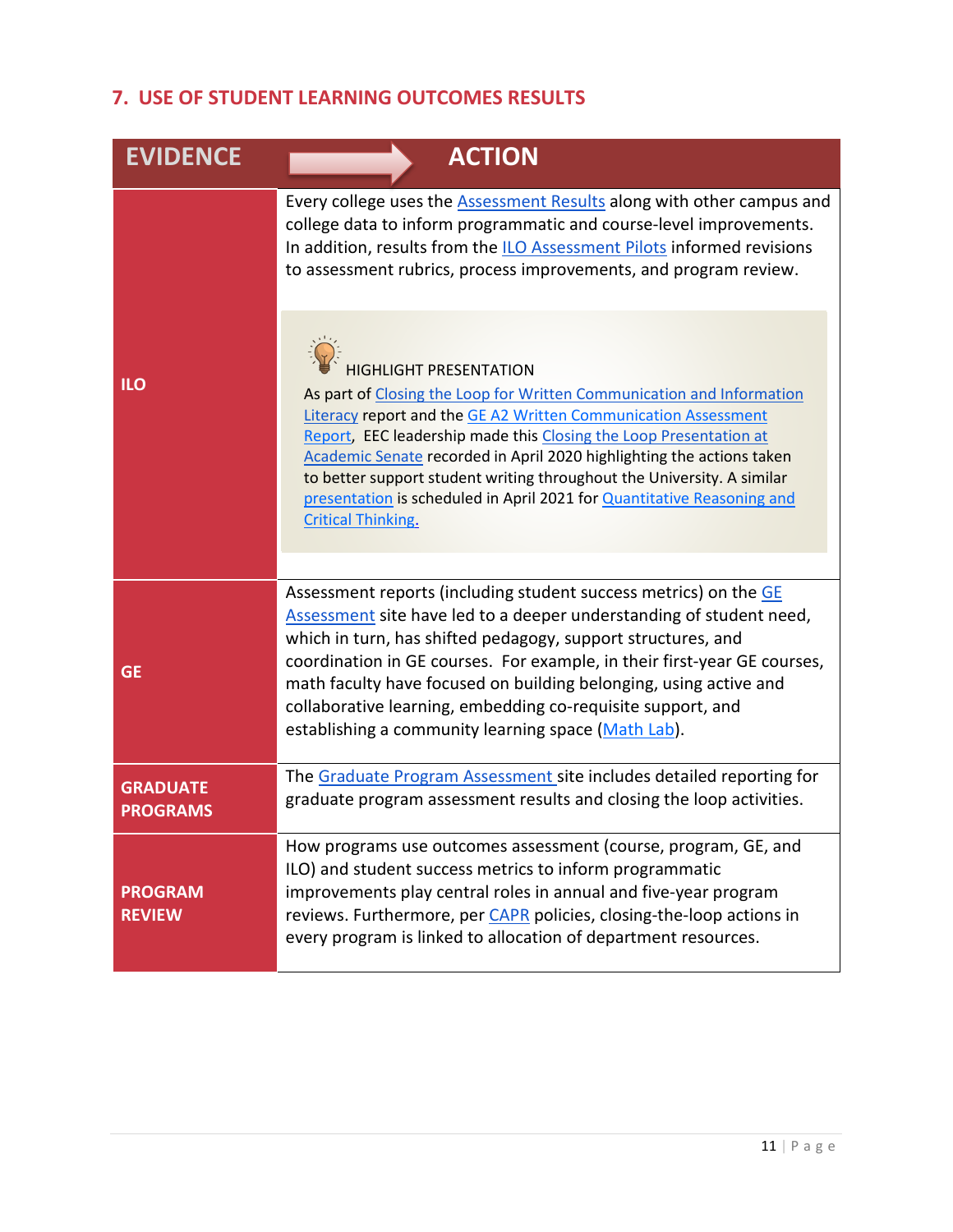# **7. USE OF STUDENT LEARNING OUTCOMES RESULTS**

| <b>EVIDENCE</b>                    | <b>ACTION</b>                                                                                                                                                                                                                                                                                                                                                                                                                                                                                           |
|------------------------------------|---------------------------------------------------------------------------------------------------------------------------------------------------------------------------------------------------------------------------------------------------------------------------------------------------------------------------------------------------------------------------------------------------------------------------------------------------------------------------------------------------------|
|                                    | Every college uses the <b>Assessment Results</b> along with other campus and<br>college data to inform programmatic and course-level improvements.<br>In addition, results from the ILO Assessment Pilots informed revisions<br>to assessment rubrics, process improvements, and program review.                                                                                                                                                                                                        |
| <b>ILO</b>                         | <b>HIGHLIGHT PRESENTATION</b><br>As part of Closing the Loop for Written Communication and Information<br>Literacy report and the GE A2 Written Communication Assessment<br>Report, EEC leadership made this Closing the Loop Presentation at<br>Academic Senate recorded in April 2020 highlighting the actions taken<br>to better support student writing throughout the University. A similar<br>presentation is scheduled in April 2021 for Quantitative Reasoning and<br><b>Critical Thinking.</b> |
| <b>GE</b>                          | Assessment reports (including student success metrics) on the GE<br>Assessment site have led to a deeper understanding of student need,<br>which in turn, has shifted pedagogy, support structures, and<br>coordination in GE courses. For example, in their first-year GE courses,<br>math faculty have focused on building belonging, using active and<br>collaborative learning, embedding co-requisite support, and<br>establishing a community learning space (Math Lab).                          |
| <b>GRADUATE</b><br><b>PROGRAMS</b> | The Graduate Program Assessment site includes detailed reporting for<br>graduate program assessment results and closing the loop activities.                                                                                                                                                                                                                                                                                                                                                            |
| <b>PROGRAM</b><br><b>REVIEW</b>    | How programs use outcomes assessment (course, program, GE, and<br>ILO) and student success metrics to inform programmatic<br>improvements play central roles in annual and five-year program<br>reviews. Furthermore, per CAPR policies, closing-the-loop actions in<br>every program is linked to allocation of department resources.                                                                                                                                                                  |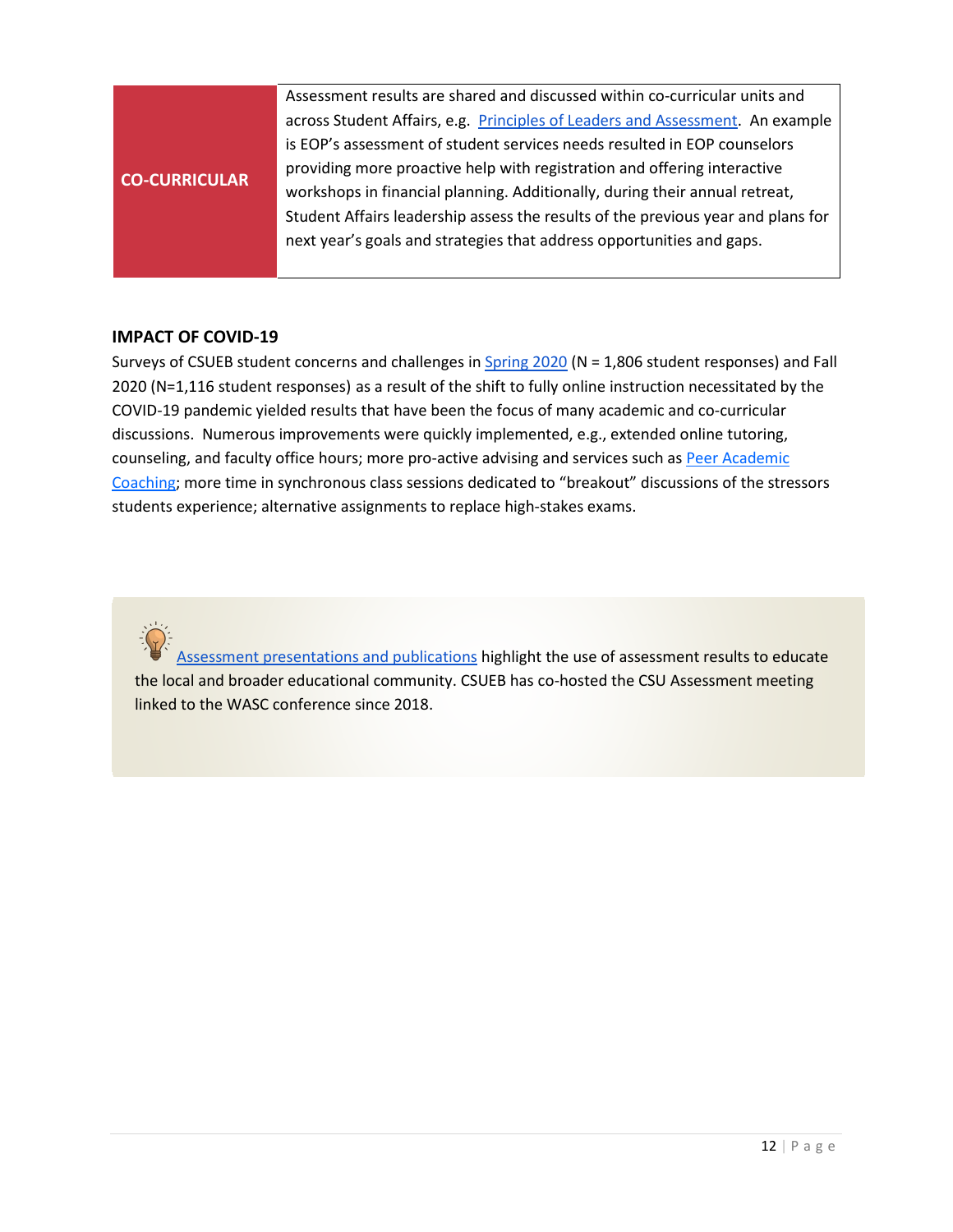|                      | Assessment results are shared and discussed within co-curricular units and       |  |
|----------------------|----------------------------------------------------------------------------------|--|
|                      | across Student Affairs, e.g. Principles of Leaders and Assessment. An example    |  |
|                      | is EOP's assessment of student services needs resulted in EOP counselors         |  |
| <b>CO-CURRICULAR</b> | providing more proactive help with registration and offering interactive         |  |
|                      | workshops in financial planning. Additionally, during their annual retreat,      |  |
|                      | Student Affairs leadership assess the results of the previous year and plans for |  |
|                      | next year's goals and strategies that address opportunities and gaps.            |  |
|                      |                                                                                  |  |

#### **IMPACT OF COVID-19**

Surveys of CSUEB student concerns and challenges i[n Spring 2020](https://www.csueastbay.edu/aps/files/docs/findings-and-questions-from-a-spring-2020-student-survey-student-life-at-csueb-during-a-pandemic.pdf) (N = 1,806 student responses) and Fall 2020 (N=1,116 student responses) as a result of the shift to fully online instruction necessitated by the COVID-19 pandemic yielded results that have been the focus of many academic and co-curricular discussions. Numerous improvements were quickly implemented, e.g., extended online tutoring, counseling, and faculty office hours; more pro-active advising and services such as Peer Academic [Coaching;](https://www.csueastbay.edu/pac/) more time in synchronous class sessions dedicated to "breakout" discussions of the stressors students experience; alternative assignments to replace high-stakes exams.



[Assessment presentations and publications](https://www.csueastbay.edu/aps/files/docs/assessment-presentations-and-publications.pdf) highlight the use of assessment results to educate the local and broader educational community. CSUEB has co-hosted the CSU Assessment meeting linked to the WASC conference since 2018.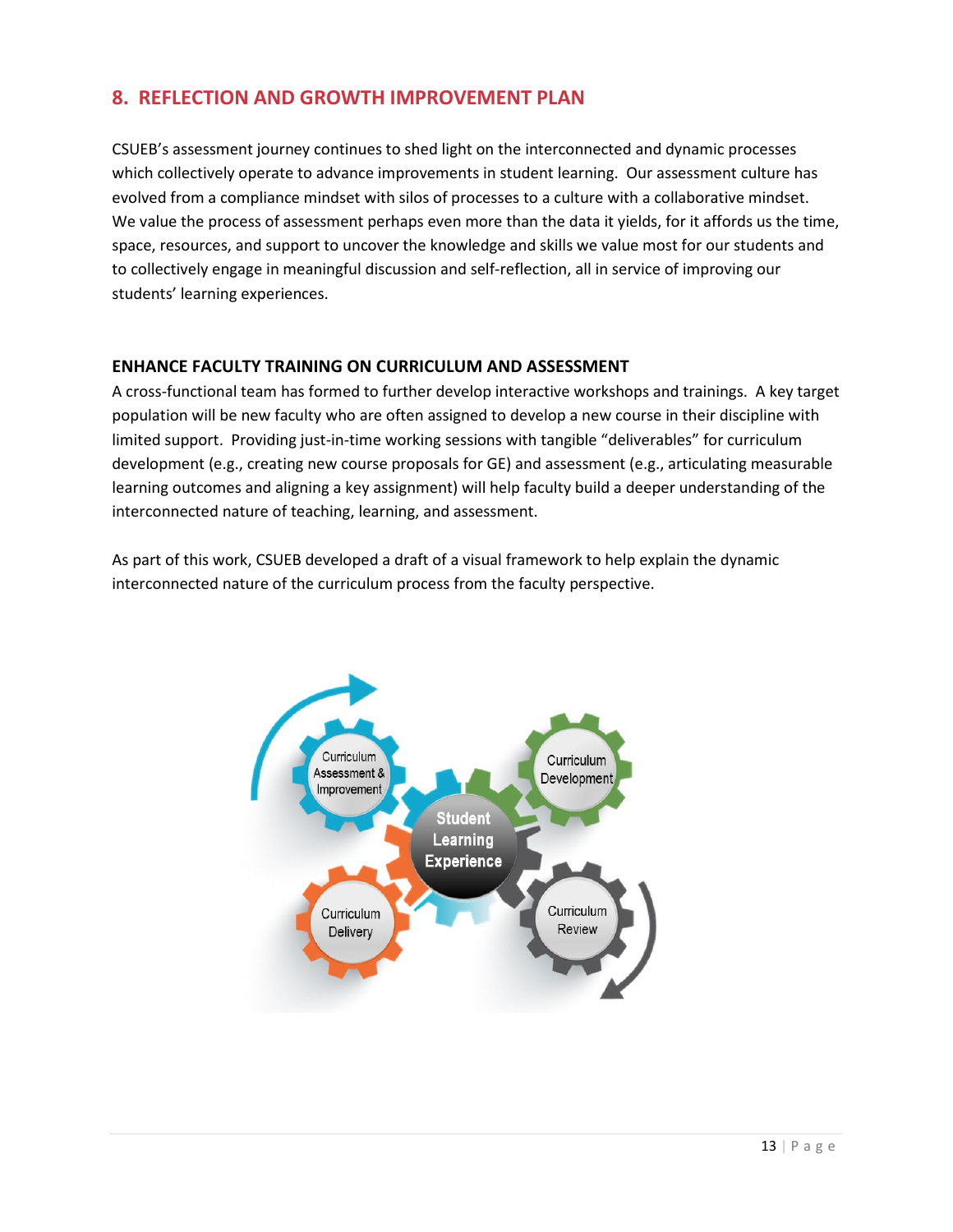### **8. REFLECTION AND GROWTH IMPROVEMENT PLAN**

CSUEB's assessment journey continues to shed light on the interconnected and dynamic processes which collectively operate to advance improvements in student learning. Our assessment culture has evolved from a compliance mindset with silos of processes to a culture with a collaborative mindset. We value the process of assessment perhaps even more than the data it yields, for it affords us the time, space, resources, and support to uncover the knowledge and skills we value most for our students and to collectively engage in meaningful discussion and self-reflection, all in service of improving our students' learning experiences.

### **ENHANCE FACULTY TRAINING ON CURRICULUM AND ASSESSMENT**

A cross-functional team has formed to further develop interactive workshops and trainings. A key target population will be new faculty who are often assigned to develop a new course in their discipline with limited support. Providing just-in-time working sessions with tangible "deliverables" for curriculum development (e.g., creating new course proposals for GE) and assessment (e.g., articulating measurable learning outcomes and aligning a key assignment) will help faculty build a deeper understanding of the interconnected nature of teaching, learning, and assessment.

As part of this work, CSUEB developed a draft of a visual framework to help explain the dynamic interconnected nature of the curriculum process from the faculty perspective.